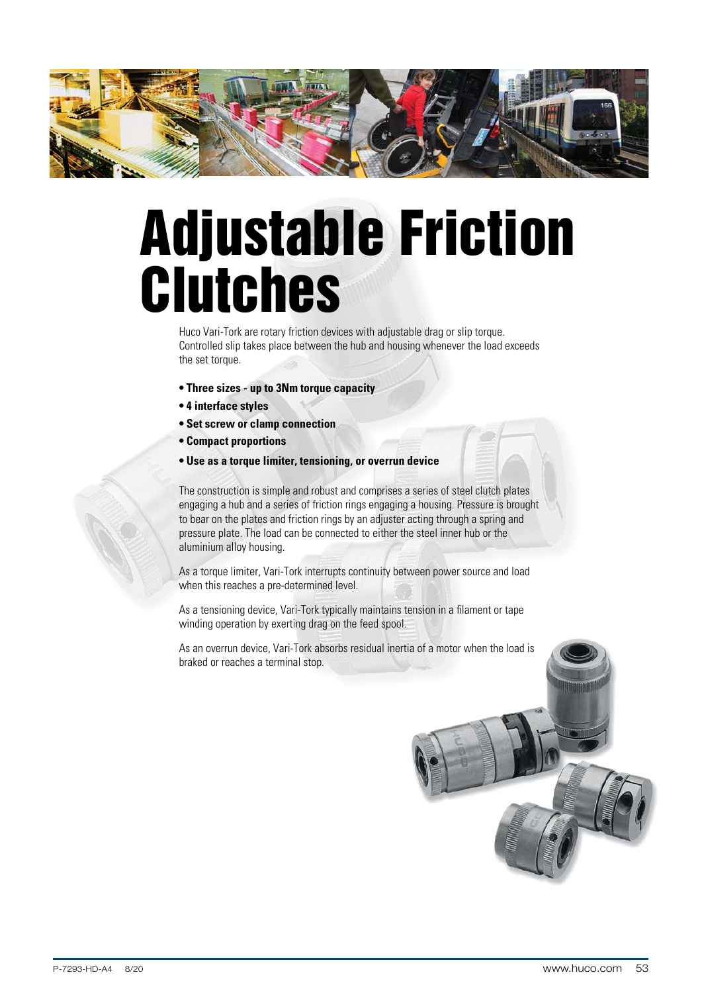

# Adjustable Friction **Clutches**

Huco Vari-Tork are rotary friction devices with adjustable drag or slip torque. Controlled slip takes place between the hub and housing whenever the load exceeds the set torque.

- **Three sizes up to 3Nm torque capacity**
- **4 interface styles**
- **Set screw or clamp connection**
- **Compact proportions**
- **Use as a torque limiter, tensioning, or overrun device**

The construction is simple and robust and comprises a series of steel clutch plates engaging a hub and a series of friction rings engaging a housing. Pressure is brought to bear on the plates and friction rings by an adjuster acting through a spring and pressure plate. The load can be connected to either the steel inner hub or the aluminium alloy housing.

As a torque limiter, Vari-Tork interrupts continuity between power source and load when this reaches a pre-determined level.

As a tensioning device, Vari-Tork typically maintains tension in a filament or tape winding operation by exerting drag on the feed spool.

As an overrun device, Vari-Tork absorbs residual inertia of a motor when the load is braked or reaches a terminal stop.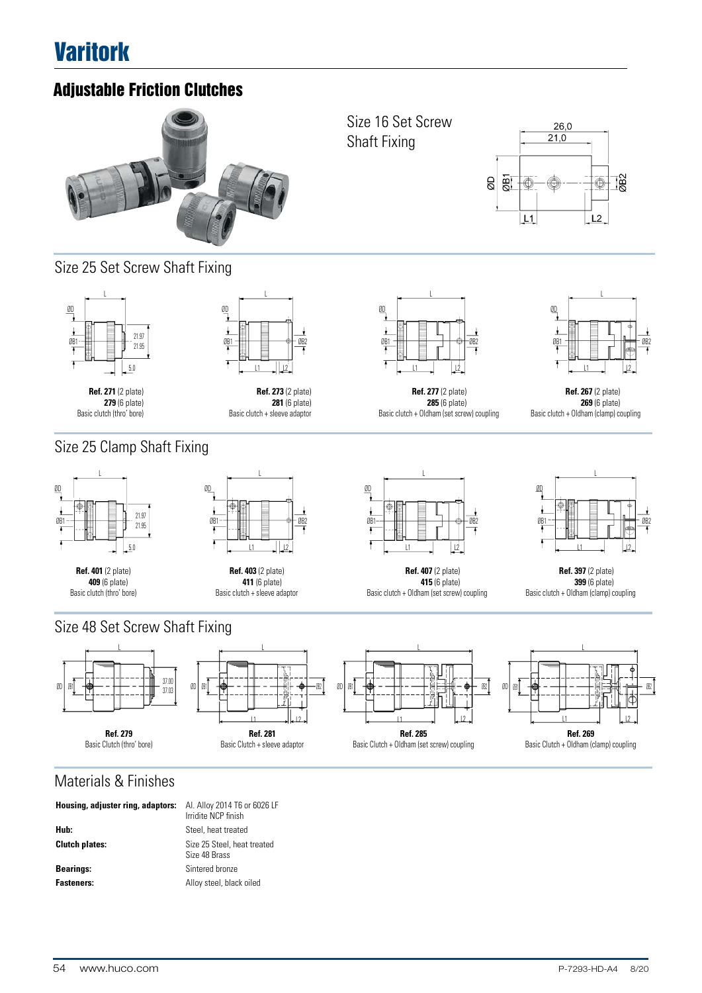# **Varitork**

# Adjustable Friction Clutches



Size 16 Set Screw Shaft Fixing



Size 25 Set Screw Shaft Fixing





**Ref. 273** (2 plate) **281** (6 plate) Basic clutch + sleeve adaptor

# Size 25 Clamp Shaft Fixing

**279** (6 plate) Basic clutch (thro' bore)





**Ref. 403** (2 plate) **411** (6 plate) Basic clutch + sleeve adaptor



**Ref. 277** (2 plate) **285** (6 plate) Basic clutch + Oldham (set screw) coupling



**Ref. 267** (2 plate) **269** (6 plate) Basic clutch + Oldham (clamp) coupling



**Ref. 407** (2 plate) **415** (6 plate) Basic clutch + Oldham (set screw) coupling



**Ref. 397** (2 plate) **399** (6 plate) Basic clutch + Oldham (clamp) coupling









## Materials & Finishes

ØD ØB1

| Housing, adjuster ring, adaptors: | Al. Alloy 2014 T6 or 6026 LF<br>Irridite NCP finish |
|-----------------------------------|-----------------------------------------------------|
| Hub:                              | Steel, heat treated                                 |
| <b>Clutch plates:</b>             | Size 25 Steel, heat treated<br>Size 48 Brass        |
| <b>Bearings:</b>                  | Sintered bronze                                     |
| <b>Fasteners:</b>                 | Alloy steel, black oiled                            |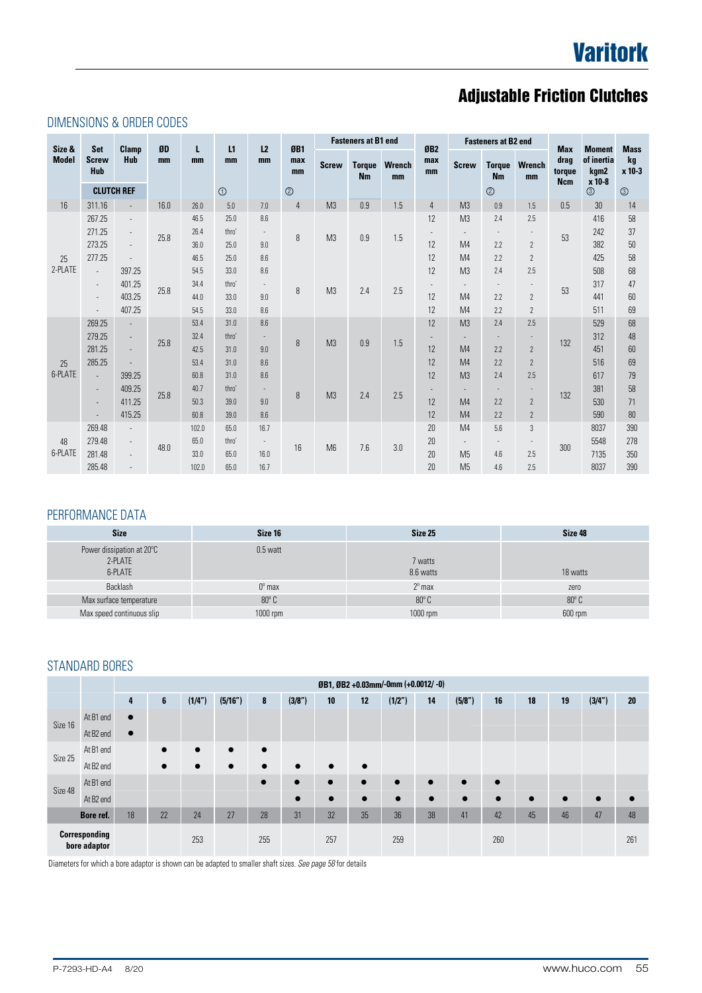# Adjustable Friction Clutches

#### DIMENSIONS & ORDER CODES

| Size &<br><b>Model</b> | Set                        | <b>Clamp</b>                | ØD   | L     | L1<br>L <sub>2</sub><br>mm |                          | ØB1<br>max<br>mm | <b>Fasteners at B1 end</b> |                     |                     | ØB <sub>2</sub>          |                          | <b>Fasteners at B2 end</b> |                |                                            | <b>Moment</b>                | <b>Mass</b>    |
|------------------------|----------------------------|-----------------------------|------|-------|----------------------------|--------------------------|------------------|----------------------------|---------------------|---------------------|--------------------------|--------------------------|----------------------------|----------------|--------------------------------------------|------------------------------|----------------|
|                        | <b>Screw</b><br><b>Hub</b> | <b>Hub</b>                  | mm   | mm    |                            | mm                       |                  | <b>Screw</b>               | <b>Torque</b><br>Nm | <b>Wrench</b><br>mm | max<br>mm                | <b>Screw</b>             | <b>Torque</b><br><b>Nm</b> | Wrench<br>mm   | <b>Max</b><br>drag<br>torque<br><b>Ncm</b> | of inertia<br>kgm2<br>x 10-8 | kg<br>x 10-3   |
|                        | <b>CLUTCH REF</b>          |                             |      |       | $\odot$                    |                          | $^{\circledR}$   |                            |                     |                     |                          |                          | $^{\circledR}$             |                |                                            | $^{\circledR}$               | $^{\circledR}$ |
| 16                     | 311.16                     | $\mathbb{Z}^+$              | 16.0 | 26.0  | 5.0                        | 7.0                      | $\overline{4}$   | M <sub>3</sub>             | 0.9                 | 1.5                 | 4                        | M <sub>3</sub>           | 0.9                        | 1.5            | 0.5                                        | 30                           | 14             |
|                        | 267.25                     | $\overline{\phantom{a}}$    |      | 46.5  | 25.0                       | 8.6                      |                  | M <sub>3</sub>             | 0.9                 | 1.5                 | 12                       | M <sub>3</sub>           | 2.4                        | 2.5            | 53                                         | 416                          | 58             |
|                        | 271.25                     | $\overline{\phantom{a}}$    | 25.8 | 26.4  | thro'                      | $\sim$                   | 8                |                            |                     |                     |                          |                          |                            |                |                                            | 242                          | 37             |
|                        | 273.25                     | $\mathcal{L}^{\mathcal{A}}$ |      | 36.0  | 25.0                       | 9.0                      |                  |                            |                     |                     | 12                       | M <sub>4</sub>           | 2.2                        | $\overline{2}$ |                                            | 382                          | 50             |
| 25<br>2-PLATE          | 277.25                     | $\overline{\phantom{a}}$    |      | 46.5  | 25.0                       | 8.6                      |                  |                            |                     |                     | 12                       | M <sub>4</sub>           | 2.2                        | $\overline{2}$ |                                            | 425                          | 58             |
|                        | $\mathbb{Z}^2$             | 397.25                      | 25.8 | 54.5  | 33.0                       | 8.6                      | 8                |                            |                     |                     | 12                       | M <sub>3</sub>           | 2.4                        | 2.5            |                                            | 508                          | 68             |
|                        | $\overline{\phantom{a}}$   | 401.25                      |      | 34.4  | thro'                      | $\sim$                   |                  | M <sub>3</sub>             | 2.4                 | 2.5                 | $\overline{\phantom{a}}$ | $\overline{\phantom{a}}$ | $\overline{\phantom{a}}$   |                | 53                                         | 317                          | 47             |
|                        | ٠                          | 403.25                      |      | 44.0  | 33.0                       | 9.0                      |                  |                            |                     |                     | 12                       | M <sub>4</sub>           | 2.2                        | $\overline{2}$ |                                            | 441                          | 60             |
|                        | -                          | 407.25                      |      | 54.5  | 33.0                       | 8.6                      |                  |                            |                     |                     | 12                       | M4                       | 2.2                        | $\overline{2}$ |                                            | 511                          | 69             |
|                        | 269.25                     | $\overline{\phantom{a}}$    | 25.8 | 53.4  | 31.0                       | 8.6                      |                  | M <sub>3</sub>             | 0.9                 | 1.5                 | 12                       | M <sub>3</sub>           | 2.4                        | 2.5            | 132                                        | 529                          | 68             |
|                        | 279.25                     | $\overline{\phantom{a}}$    |      | 32.4  | thro'                      | $\sim$                   | 8                |                            |                     |                     | $\overline{\phantom{a}}$ | $\overline{\phantom{a}}$ | $\overline{\phantom{a}}$   |                |                                            | 312                          | 48             |
|                        | 281.25                     | $\mathcal{L}_{\mathcal{A}}$ |      | 42.5  | 31.0                       | 9.0                      |                  |                            |                     |                     | 12                       | M <sub>4</sub>           | 2.2                        | $\mathbf{2}$   |                                            | 451                          | 60             |
| 25                     | 285.25                     | $\overline{\phantom{a}}$    |      | 53.4  | 31.0                       | 8.6                      |                  |                            |                     |                     | 12                       | M <sub>4</sub>           | 2.2                        | $\overline{2}$ |                                            | 516                          | 69             |
| 6-PLATE                | $\overline{\phantom{a}}$   | 399.25                      | 25.8 | 60.8  | 31.0                       | 8.6                      |                  |                            |                     | 2.5                 | 12                       | M <sub>3</sub>           | 2.4                        | 2.5            |                                            | 617                          | 79             |
|                        | $\overline{\phantom{a}}$   | 409.25                      |      | 40.7  | thro'                      | $\sim$                   | 8                | M <sub>3</sub>             | 2.4                 |                     | $\overline{\phantom{a}}$ | $\overline{\phantom{a}}$ | $\overline{\phantom{a}}$   | ٠              | 132                                        | 381                          | 58             |
|                        | $\overline{\phantom{a}}$   | 411.25                      |      | 50.3  | 39.0                       | 9.0                      |                  |                            |                     |                     | 12                       | M <sub>4</sub>           | 2.2                        | $\overline{2}$ |                                            | 530                          | 71             |
|                        | $\overline{\phantom{a}}$   | 415.25                      |      | 60.8  | 39.0                       | 8.6                      |                  |                            |                     |                     | 12                       | M <sub>4</sub>           | 2.2                        | $\overline{c}$ |                                            | 590                          | 80             |
|                        | 269.48                     | $\overline{\phantom{a}}$    | 48.0 | 102.0 | 65.0                       | 16.7                     |                  | M6                         | 7.6                 |                     | 20                       | M <sub>4</sub>           | 5.6                        | 3              |                                            | 8037                         | 390            |
| 48                     | 279.48                     | $\overline{\phantom{a}}$    |      | 65.0  | thro'                      | $\overline{\phantom{a}}$ | 16               |                            |                     | 3.0                 | 20                       | $\sim$                   |                            | $\sim$         | 300                                        | 5548                         | 278            |
| 6-PLATE                | 281.48                     | $\sim$                      |      | 33.0  | 65.0                       | 16.0                     |                  |                            |                     |                     | 20                       | M <sub>5</sub>           | 4.6                        | 2.5            |                                            | 7135                         | 350            |
|                        | 285.48                     |                             |      | 102.0 | 65.0                       | 16.7                     |                  |                            |                     |                     | 20                       | M <sub>5</sub>           | 4.6                        | 2.5            |                                            | 8037                         | 390            |

#### PERFORMANCE DATA

| <b>Size</b>                                     | Size 16         | Size 25              | Size 48      |
|-------------------------------------------------|-----------------|----------------------|--------------|
| Power dissipation at 20°C<br>2-PLATE<br>6-PLATE | $0.5$ watt      | 7 watts<br>8.6 watts | 18 watts     |
| Backlash                                        | $0^{\circ}$ max | $2^{\circ}$ max      | zero         |
| Max surface temperature                         | $80^\circ$ C    | $80^{\circ}$ C       | $80^\circ$ C |
| Max speed continuous slip                       | 1000 rpm        | 1000 rpm             | 600 rpm      |

#### STANDARD BORES

|                               |           | ØB1, ØB2 +0.03mm/-0mm (+0.0012/-0) |           |           |           |           |           |           |           |           |           |           |           |           |           |           |           |
|-------------------------------|-----------|------------------------------------|-----------|-----------|-----------|-----------|-----------|-----------|-----------|-----------|-----------|-----------|-----------|-----------|-----------|-----------|-----------|
|                               |           | 4                                  | 6         | (1/4")    | (5/16")   | 8         | (3/8")    | 10        | 12        | (1/2")    | 14        | (5/8")    | 16        | 18        | 19        | (3/4")    | 20        |
| Size 16                       | At B1 end | $\bullet$                          |           |           |           |           |           |           |           |           |           |           |           |           |           |           |           |
|                               | At B2 end | $\bullet$                          |           |           |           |           |           |           |           |           |           |           |           |           |           |           |           |
| Size 25                       | At B1 end |                                    | $\bullet$ | $\bullet$ | $\bullet$ | $\bullet$ |           |           |           |           |           |           |           |           |           |           |           |
|                               | At B2 end |                                    | $\bullet$ | $\bullet$ | $\bullet$ | $\bullet$ | $\bullet$ | $\bullet$ | $\bullet$ |           |           |           |           |           |           |           |           |
| Size 48                       | At B1 end |                                    |           |           |           | $\bullet$ | $\bullet$ | $\bullet$ | $\bullet$ | $\bullet$ | $\bullet$ | $\bullet$ | $\bullet$ |           |           |           |           |
|                               | At B2 end |                                    |           |           |           |           | $\bullet$ | $\bullet$ | $\bullet$ | $\bullet$ | $\bullet$ | $\bullet$ | $\bullet$ | $\bullet$ | $\bullet$ | $\bullet$ | $\bullet$ |
| Bore ref.                     |           | 18                                 | 22        | 24        | 27        | 28        | 31        | 32        | 35        | 36        | 38        | 41        | 42        | 45        | 46        | 47        | 48        |
| Corresponding<br>bore adaptor |           |                                    |           | 253       |           | 255       |           | 257       |           | 259       |           |           | 260       |           |           |           | 261       |

Diameters for which a bore adaptor is shown can be adapted to smaller shaft sizes. *See page 58* for details